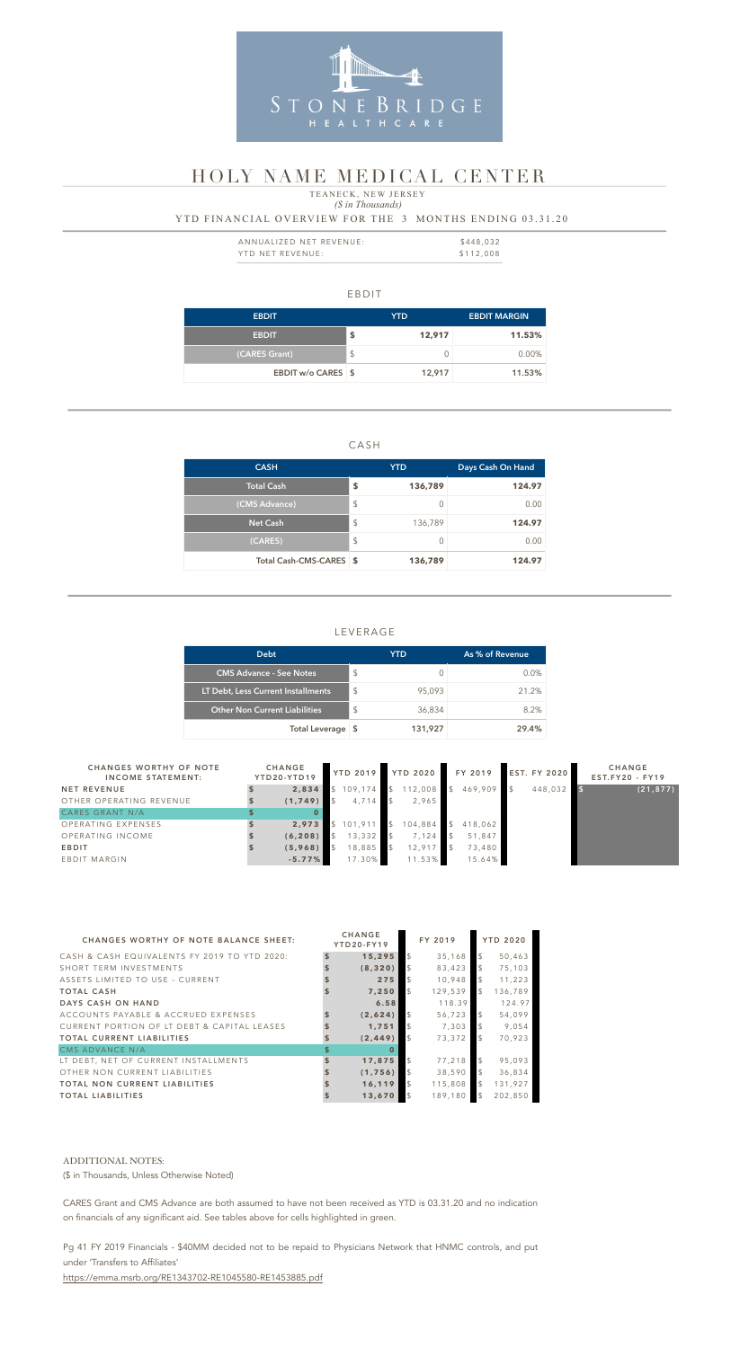#### EBDIT

| <b>EBDIT</b>       |            | <b>YTD</b> | <b>EBDIT MARGIN</b> |
|--------------------|------------|------------|---------------------|
| <b>EBDIT</b>       | \$         | 12,917     | 11.53%              |
| (CARES Grant)      | $\sqrt{2}$ |            | $0.00\%$            |
| EBDIT w/o CARES \$ |            | 12,917     | 11.53%              |

### CASH

| <b>CASH</b>             |                         | <b>YTD</b> | Days Cash On Hand |  |  |
|-------------------------|-------------------------|------------|-------------------|--|--|
| Total Cash              | \$                      | 136,789    | 124.97            |  |  |
| (CMS Advance)           | $\frac{1}{2}$           | 0          | 0.00              |  |  |
| <b>Net Cash</b>         | $\sqrt[6]{\frac{1}{2}}$ | 136,789    | 124.97            |  |  |
| (CARES)                 | $\frac{1}{2}$           | Ω          | 0.00              |  |  |
| Total Cash-CMS-CARES \$ |                         | 136,789    | 124.97            |  |  |

| ANNUALIZED NET REVENUE: | \$448,032 |
|-------------------------|-----------|
| YTD NET REVENUE:        | \$112,008 |

### LEVERAGE

### *(\$ in Thousands)* YTD FINANCIAL OVERVIEW FOR THE 3 MONTHS ENDING 03.31.20 TEANECK, NEW JERSEY

| <b>Debt</b>                          |               | YTD.    | As % of Revenue |
|--------------------------------------|---------------|---------|-----------------|
| <b>CMS Advance - See Notes</b>       | \$            |         | $0.0\%$         |
| LT Debt, Less Current Installments   | S             | 95,093  | 21.2%           |
| <b>Other Non Current Liabilities</b> | $\mathcal{S}$ | 36,834  | 8.2%            |
| Total Leverage \$                    |               | 131,927 | 29.4%           |



# HOLY NAME MEDICAL CENTER

| <b>CHANGES WORTHY OF NOTE</b><br><b>INCOME STATEMENT:</b> | <b>CHANGE</b><br>YTD20-YTD19 |  |            | YTD 2019 YTD 2020 |         | FY 2019        |         | <b>EST. FY 2020</b> |         | <b>CHANGE</b><br>$EST.FY20 - FY19$ |
|-----------------------------------------------------------|------------------------------|--|------------|-------------------|---------|----------------|---------|---------------------|---------|------------------------------------|
| <b>NET REVENUE</b>                                        | 2,834                        |  | 109.174    | $\sqrt{5}$        | 112,008 | $\blacksquare$ | 469,909 |                     | 448,032 | (21, 877)                          |
| OTHER OPERATING REVENUE                                   | (1, 749)                     |  | $4,714$ \$ |                   | 2,965   |                |         |                     |         |                                    |
| CARES GRANT N/A                                           |                              |  |            |                   |         |                |         |                     |         |                                    |
| OPERATING EXPENSES                                        | 2,973                        |  | 101,911    |                   | 104,884 | $\mathsf{S}$   | 418,062 |                     |         |                                    |
| OPERATING INCOME                                          | (6, 208)                     |  | 13,332     |                   | 7,124   |                | 51,847  |                     |         |                                    |
| <b>EBDIT</b>                                              | (5,968)                      |  | 18,885     |                   | 12,917  |                | 73,480  |                     |         |                                    |
| EBDIT MARGIN                                              | $-5.77\%$                    |  | 17.30%     |                   | 11.53%  |                | 15.64%  |                     |         |                                    |

| <b>CHANGES WORTHY OF NOTE BALANCE SHEET:</b> | <b>CHANGE</b><br><b>YTD20-FY19</b> |                | FY 2019 |                | <b>YTD 2020</b> |
|----------------------------------------------|------------------------------------|----------------|---------|----------------|-----------------|
| CASH & CASH EQUIVALENTS FY 2019 TO YTD 2020: | 15,295                             | $\mathfrak{L}$ | 35,168  | \$             | 50,463          |
| SHORT TERM INVESTMENTS                       | (8, 320)                           | $\sqrt{3}$     | 83,423  | $\mathfrak{L}$ | 75,103          |
| ASSETS LIMITED TO USE - CURRENT              | 275                                | $\mathcal{S}$  | 10,948  | \$             | 11,223          |
| <b>TOTAL CASH</b>                            | 7,250                              | $\mathcal{S}$  | 129,539 | $\mathfrak{L}$ | 136,789         |
| DAYS CASH ON HAND                            | 6.58                               |                | 118.39  |                | 124.97          |
| ACCOUNTS PAYABLE & ACCRUED EXPENSES          | (2,624)                            | $\mathcal{S}$  | 56,723  | $\mathbb{S}$   | 54,099          |
| CURRENT PORTION OF LT DEBT & CAPITAL LEASES  | 1,751                              | $\mathcal{S}$  | 7,303   | \$             | 9,054           |
| <b>TOTAL CURRENT LIABILITIES</b>             | (2, 449)                           | $\mathcal{F}$  | 73.372  | $\mathfrak{L}$ | 70.923          |
| CMS ADVANCE N/A                              | $\Omega$                           |                |         |                |                 |
| LT DEBT, NET OF CURRENT INSTALLMENTS         | 17,875                             | $\sqrt{5}$     | 77,218  | $\mathfrak{L}$ | 95,093          |
| OTHER NON CURRENT LIABILITIES                | (1,756)                            | $\mathcal{S}$  | 38,590  | \$             | 36,834          |
| <b>TOTAL NON CURRENT LIABILITIES</b>         | 16,119                             | $\mathcal{S}$  | 115,808 | $\mathfrak{L}$ | 131,927         |
| <b>TOTAL LIABILITIES</b>                     | 13,670                             | <b>S</b>       | 189,180 | $\sqrt{2}$     | 202,850         |

#### ADDITIONAL NOTES:

(\$ in Thousands, Unless Otherwise Noted)

CARES Grant and CMS Advance are both assumed to have not been received as YTD is 03.31.20 and no indication on financials of any significant aid. See tables above for cells highlighted in green.

Pg 41 FY 2019 Financials - \$40MM decided not to be repaid to Physicians Network that HNMC controls, and put under 'Transfers to Affiliates'

<https://emma.msrb.org/RE1343702-RE1045580-RE1453885.pdf>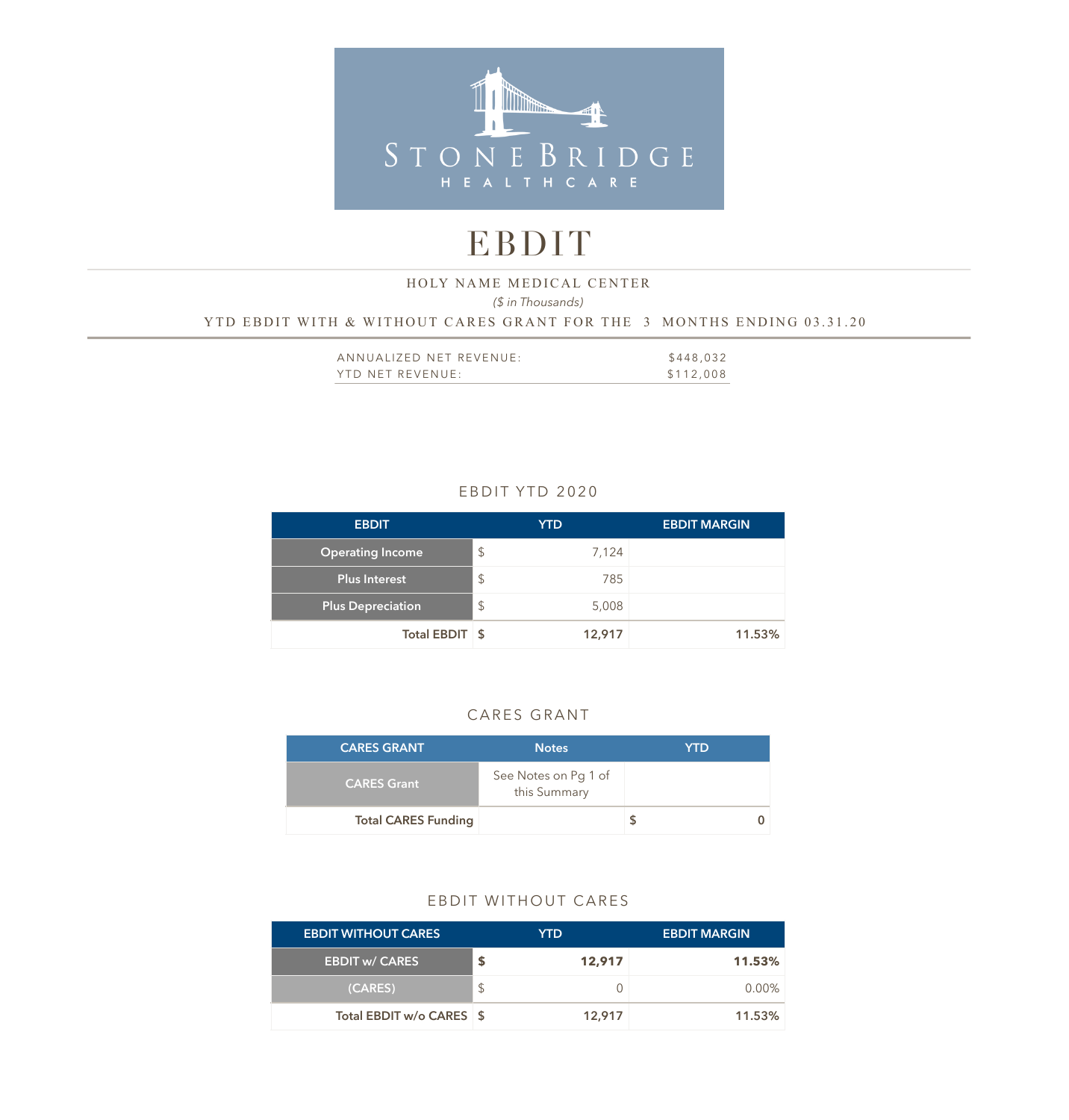

# EBDIT

### *(\$ in Thousands)*  YTD EBDIT WITH & WITHOUT CARES GRANT FOR THE 3 MONTHS ENDING 03.31.20 HOLY NAME MEDICAL CENTER

| ANNUALIZED NET REVENUE: | \$448,032 |
|-------------------------|-----------|
| YTD NET REVENUE:        | \$112,008 |

## EBDIT YTD 2020

| <b>EBDIT</b>             |               | <b>YTD</b> | <b>EBDIT MARGIN</b> |
|--------------------------|---------------|------------|---------------------|
| <b>Operating Income</b>  | $\mathcal{L}$ | 7,124      |                     |
| <b>Plus Interest</b>     | $\mathcal{L}$ | 785        |                     |
| <b>Plus Depreciation</b> | $\frac{1}{2}$ | 5,008      |                     |
| Total EBDIT \$           |               | 12,917     | 11.53%              |

### CARES GRANT

| <b>CARES GRANT</b>         | <b>Notes</b>                         | YTD |
|----------------------------|--------------------------------------|-----|
| <b>CARES Grant</b>         | See Notes on Pg 1 of<br>this Summary |     |
| <b>Total CARES Funding</b> |                                      |     |

### EBDIT WITHOUT CARES

| <b>EBDIT WITHOUT CARES</b> | YTD.   | <b>EBDIT MARGIN</b> |
|----------------------------|--------|---------------------|
| <b>EBDIT w/ CARES</b>      | 12,917 | 11.53%              |
| (CARES)                    |        | $0.00\%$            |
| Total EBDIT w/o CARES \$   | 12,917 | 11.53%              |